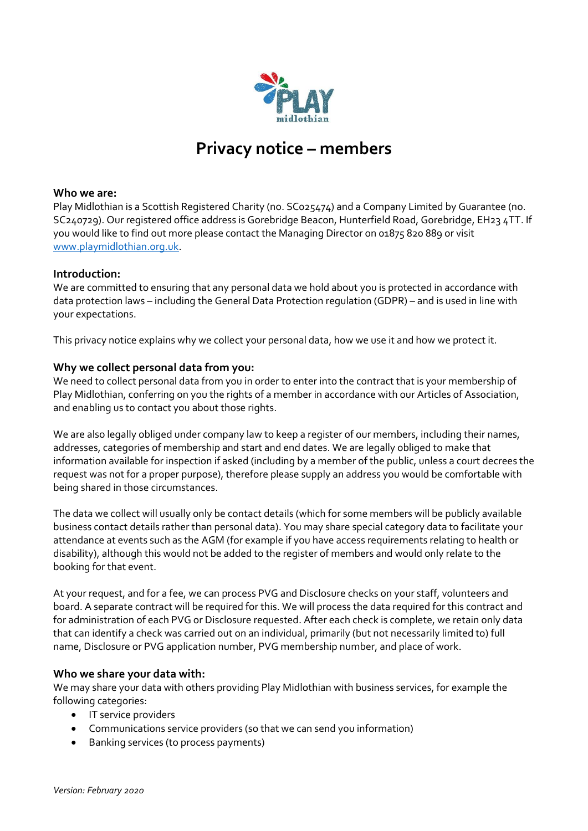

# **Privacy notice – members**

## **Who we are:**

Play Midlothian is a Scottish Registered Charity (no. SC025474) and a Company Limited by Guarantee (no. SC240729). Our registered office address is Gorebridge Beacon, Hunterfield Road, Gorebridge, EH23 4TT. If you would like to find out more please contact the Managing Director on 01875 820 889 or visit [www.playmidlothian.org.uk.](http://www.playmidlothian.org.uk/)

#### **Introduction:**

We are committed to ensuring that any personal data we hold about you is protected in accordance with data protection laws – including the General Data Protection regulation (GDPR) – and is used in line with your expectations.

This privacy notice explains why we collect your personal data, how we use it and how we protect it.

### **Why we collect personal data from you:**

We need to collect personal data from you in order to enter into the contract that is your membership of Play Midlothian, conferring on you the rights of a member in accordance with our Articles of Association, and enabling us to contact you about those rights.

We are also legally obliged under company law to keep a register of our members, including their names, addresses, categories of membership and start and end dates. We are legally obliged to make that information available for inspection if asked (including by a member of the public, unless a court decrees the request was not for a proper purpose), therefore please supply an address you would be comfortable with being shared in those circumstances.

The data we collect will usually only be contact details (which for some members will be publicly available business contact details rather than personal data). You may share special category data to facilitate your attendance at events such as the AGM (for example if you have access requirements relating to health or disability), although this would not be added to the register of members and would only relate to the booking for that event.

At your request, and for a fee, we can process PVG and Disclosure checks on your staff, volunteers and board. A separate contract will be required for this. We will process the data required for this contract and for administration of each PVG or Disclosure requested. After each check is complete, we retain only data that can identify a check was carried out on an individual, primarily (but not necessarily limited to) full name, Disclosure or PVG application number, PVG membership number, and place of work.

### **Who we share your data with:**

We may share your data with others providing Play Midlothian with business services, for example the following categories:

- IT service providers
- Communications service providers (so that we can send you information)
- Banking services (to process payments)